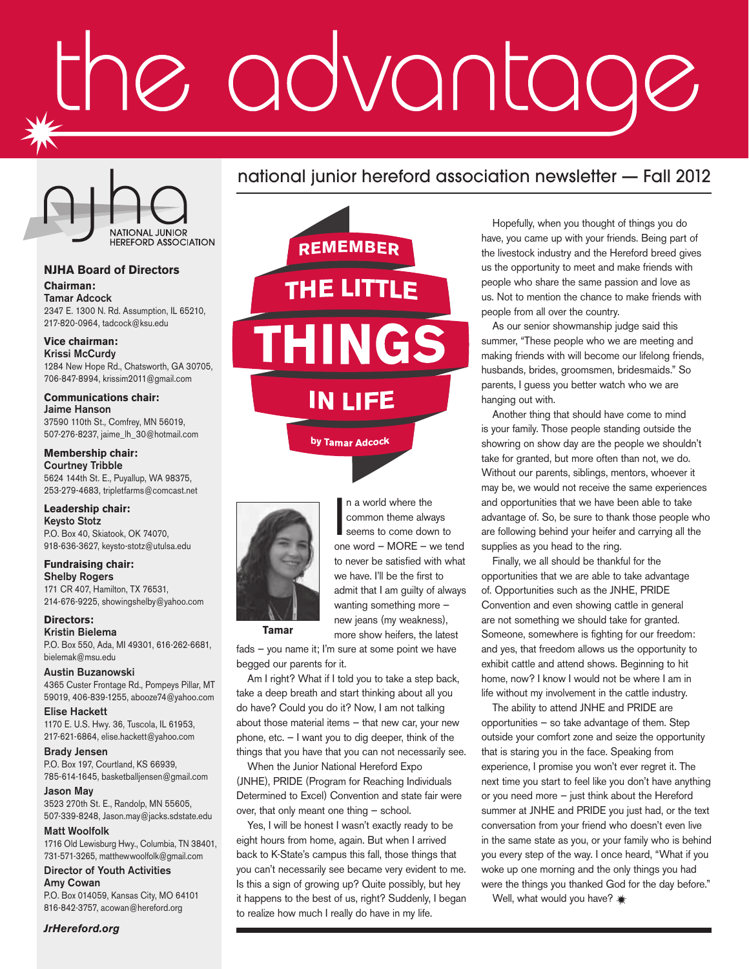# advantag



#### **NJHA Board of Directors**

**Chairman:** Tamar Adcock 2347 E. 1300 N. Rd. Assumption, IL 65210, 217-820-0964, tadcock@ksu.edu

#### **Vice chairman:**

Krissi McCurdy 1284 New Hope Rd., Chatsworth, GA 30705, 706-847-8994, krissim2011@gmail.com

#### **Communications chair:** Jaime Hanson

37590 110th St., Comfrey, MN 56019, 507-276-8237, jaime\_lh\_30@hotmail.com

#### **Membership chair:**

Courtney Tribble 5624 144th St. E., Puyallup, WA 98375, 253-279-4683, tripletfarms@comcast.net

#### **Leadership chair:**

Keysto Stotz P.O. Box 40, Skiatook, OK 74070, 918-636-3627, keysto-stotz@utulsa.edu

#### **Fundraising chair:** Shelby Rogers 171 CR 407, Hamilton, TX 76531,

214-676-9225, showingshelby@yahoo.com

#### **Directors:** Kristin Bielema

P.O. Box 550, Ada, MI 49301, 616-262-6681, bielemak@msu.edu

Austin Buzanowski 4365 Custer Frontage Rd., Pompeys Pillar, MT 59019, 406-839-1255, abooze74@yahoo.com

Elise Hackett 1170 E. U.S. Hwy. 36, Tuscola, IL 61953, 217-621-6864, elise.hackett@yahoo.com

Brady Jensen P.O. Box 197, Courtland, KS 66939, 785-614-1645, basketballjensen@gmail.com

Jason May 3523 270th St. E., Randolp, MN 55605, 507-339-8248, Jason.may@jacks.sdstate.edu

#### Matt Woolfolk

1716 Old Lewisburg Hwy., Columbia, TN 38401, 731-571-3265, matthewwoolfolk@gmail.com

Director of Youth Activities Amy Cowan P.O. Box 014059, Kansas City, MO 64101 816-842-3757, acowan@hereford.org

*JrHereford.org*



**REMEMBER** THE LITTLF IN LIFE by Tamar Adcock



In a world where the<br>
common theme always<br>
seems to come down to<br>
one word – MORE – we tend n a world where the common theme always seems to come down to to never be satisfied with what we have. I'll be the first to admit that I am guilty of always wanting something more new jeans (my weakness), more show heifers, the latest

**Tamar**

fads — you name it; I'm sure at some point we have begged our parents for it.

Am I right? What if I told you to take a step back, take a deep breath and start thinking about all you do have? Could you do it? Now, I am not talking about those material items — that new car, your new phone, etc. — I want you to dig deeper, think of the things that you have that you can not necessarily see.

When the Junior National Hereford Expo (JNHE), PRIDE (Program for Reaching Individuals Determined to Excel) Convention and state fair were over, that only meant one thing — school.

Yes, I will be honest I wasn't exactly ready to be eight hours from home, again. But when I arrived back to K-State's campus this fall, those things that you can't necessarily see became very evident to me. Is this a sign of growing up? Quite possibly, but hey it happens to the best of us, right? Suddenly, I began to realize how much I really do have in my life.

Hopefully, when you thought of things you do have, you came up with your friends. Being part of the livestock industry and the Hereford breed gives us the opportunity to meet and make friends with people who share the same passion and love as us. Not to mention the chance to make friends with people from all over the country.

As our senior showmanship judge said this summer, "These people who we are meeting and making friends with will become our lifelong friends, husbands, brides, groomsmen, bridesmaids." So parents, I guess you better watch who we are hanging out with.

Another thing that should have come to mind is your family. Those people standing outside the showring on show day are the people we shouldn't take for granted, but more often than not, we do. Without our parents, siblings, mentors, whoever it may be, we would not receive the same experiences and opportunities that we have been able to take advantage of. So, be sure to thank those people who are following behind your heifer and carrying all the supplies as you head to the ring.

Finally, we all should be thankful for the opportunities that we are able to take advantage of. Opportunities such as the JNHE, PRIDE Convention and even showing cattle in general are not something we should take for granted. Someone, somewhere is fighting for our freedom: and yes, that freedom allows us the opportunity to exhibit cattle and attend shows. Beginning to hit home, now? I know I would not be where I am in life without my involvement in the cattle industry.

The ability to attend JNHE and PRIDE are opportunities — so take advantage of them. Step outside your comfort zone and seize the opportunity that is staring you in the face. Speaking from experience, I promise you won't ever regret it. The next time you start to feel like you don't have anything or you need more — just think about the Hereford summer at JNHE and PRIDE you just had, or the text conversation from your friend who doesn't even live in the same state as you, or your family who is behind you every step of the way. I once heard, "What if you woke up one morning and the only things you had were the things you thanked God for the day before."

Well, what would you have? \*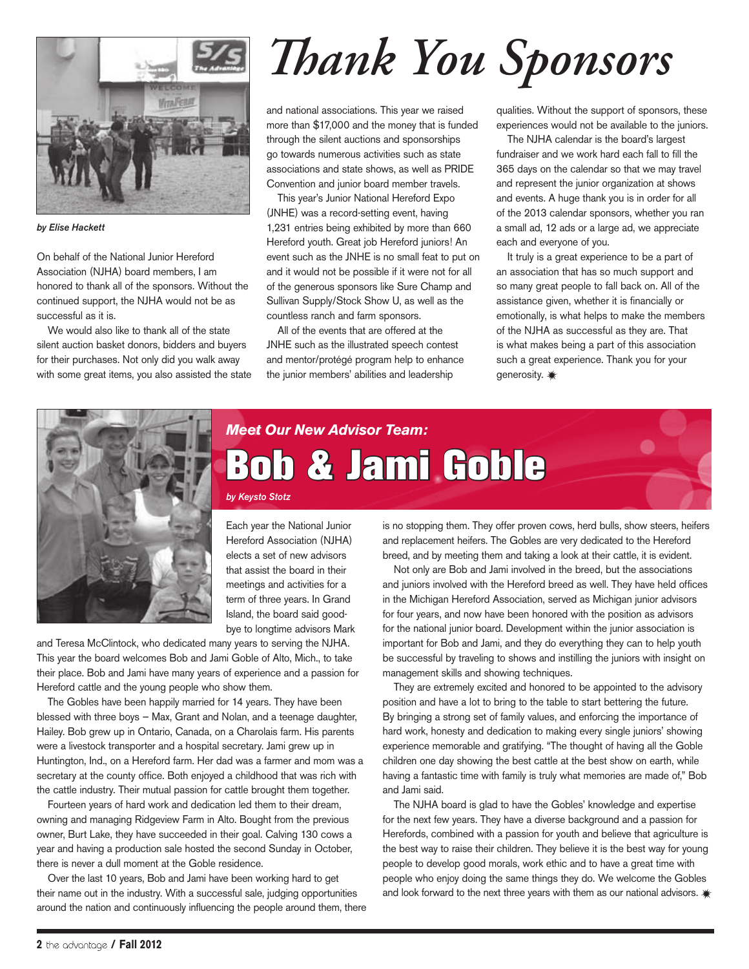

*by Elise Hackett*

On behalf of the National Junior Hereford Association (NJHA) board members, I am honored to thank all of the sponsors. Without the continued support, the NJHA would not be as successful as it is.

We would also like to thank all of the state silent auction basket donors, bidders and buyers for their purchases. Not only did you walk away with some great items, you also assisted the state

## *Thank You Sponsors*

and national associations. This year we raised more than \$17,000 and the money that is funded through the silent auctions and sponsorships go towards numerous activities such as state associations and state shows, as well as PRIDE Convention and junior board member travels.

This year's Junior National Hereford Expo (JNHE) was a record-setting event, having 1,231 entries being exhibited by more than 660 Hereford youth. Great job Hereford juniors! An event such as the JNHE is no small feat to put on and it would not be possible if it were not for all of the generous sponsors like Sure Champ and Sullivan Supply/Stock Show U, as well as the countless ranch and farm sponsors.

All of the events that are offered at the JNHE such as the illustrated speech contest and mentor/protégé program help to enhance the junior members' abilities and leadership

qualities. Without the support of sponsors, these experiences would not be available to the juniors.

The NJHA calendar is the board's largest fundraiser and we work hard each fall to fill the 365 days on the calendar so that we may travel and represent the junior organization at shows and events. A huge thank you is in order for all of the 2013 calendar sponsors, whether you ran a small ad, 12 ads or a large ad, we appreciate each and everyone of you.

It truly is a great experience to be a part of an association that has so much support and so many great people to fall back on. All of the assistance given, whether it is financially or emotionally, is what helps to make the members of the NJHA as successful as they are. That is what makes being a part of this association such a great experience. Thank you for your generosity.  $*$ 



### *Meet Our New Advisor Team:* Bob & Jami Goble

*by Keysto Stotz*

Each year the National Junior Hereford Association (NJHA) elects a set of new advisors that assist the board in their meetings and activities for a term of three years. In Grand Island, the board said goodbye to longtime advisors Mark

and Teresa McClintock, who dedicated many years to serving the NJHA. This year the board welcomes Bob and Jami Goble of Alto, Mich., to take their place. Bob and Jami have many years of experience and a passion for Hereford cattle and the young people who show them.

The Gobles have been happily married for 14 years. They have been blessed with three boys — Max, Grant and Nolan, and a teenage daughter, Hailey. Bob grew up in Ontario, Canada, on a Charolais farm. His parents were a livestock transporter and a hospital secretary. Jami grew up in Huntington, Ind., on a Hereford farm. Her dad was a farmer and mom was a secretary at the county office. Both enjoyed a childhood that was rich with the cattle industry. Their mutual passion for cattle brought them together.

Fourteen years of hard work and dedication led them to their dream, owning and managing Ridgeview Farm in Alto. Bought from the previous owner, Burt Lake, they have succeeded in their goal. Calving 130 cows a year and having a production sale hosted the second Sunday in October, there is never a dull moment at the Goble residence.

Over the last 10 years, Bob and Jami have been working hard to get their name out in the industry. With a successful sale, judging opportunities around the nation and continuously influencing the people around them, there is no stopping them. They offer proven cows, herd bulls, show steers, heifers and replacement heifers. The Gobles are very dedicated to the Hereford breed, and by meeting them and taking a look at their cattle, it is evident.

Not only are Bob and Jami involved in the breed, but the associations and juniors involved with the Hereford breed as well. They have held offices in the Michigan Hereford Association, served as Michigan junior advisors for four years, and now have been honored with the position as advisors for the national junior board. Development within the junior association is important for Bob and Jami, and they do everything they can to help youth be successful by traveling to shows and instilling the juniors with insight on management skills and showing techniques.

They are extremely excited and honored to be appointed to the advisory position and have a lot to bring to the table to start bettering the future. By bringing a strong set of family values, and enforcing the importance of hard work, honesty and dedication to making every single juniors' showing experience memorable and gratifying. "The thought of having all the Goble children one day showing the best cattle at the best show on earth, while having a fantastic time with family is truly what memories are made of," Bob and Jami said.

The NJHA board is glad to have the Gobles' knowledge and expertise for the next few years. They have a diverse background and a passion for Herefords, combined with a passion for youth and believe that agriculture is the best way to raise their children. They believe it is the best way for young people to develop good morals, work ethic and to have a great time with people who enjoy doing the same things they do. We welcome the Gobles and look forward to the next three years with them as our national advisors.  $*$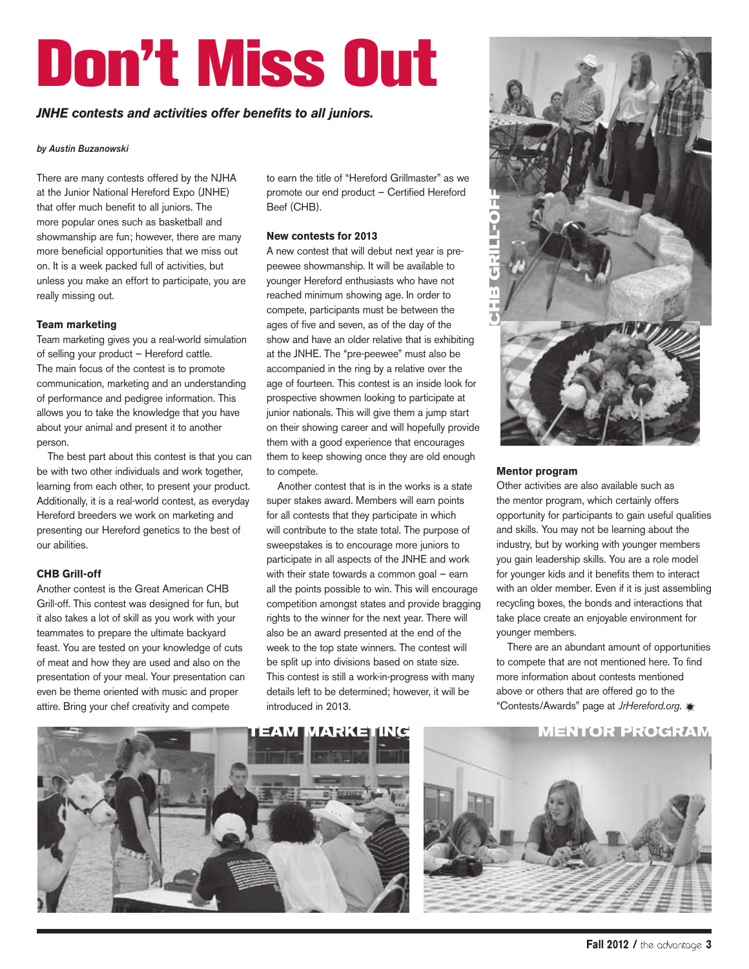## Don't Miss Out

#### *JNHE contests and activities offer benefits to all juniors.*

#### *by Austin Buzanowski*

There are many contests offered by the NJHA at the Junior National Hereford Expo (JNHE) that offer much benefit to all juniors. The more popular ones such as basketball and showmanship are fun; however, there are many more beneficial opportunities that we miss out on. It is a week packed full of activities, but unless you make an effort to participate, you are really missing out.

#### **Team marketing**

Team marketing gives you a real-world simulation of selling your product — Hereford cattle. The main focus of the contest is to promote communication, marketing and an understanding of performance and pedigree information. This allows you to take the knowledge that you have about your animal and present it to another person.

The best part about this contest is that you can be with two other individuals and work together, learning from each other, to present your product. Additionally, it is a real-world contest, as everyday Hereford breeders we work on marketing and presenting our Hereford genetics to the best of our abilities.

#### **CHB Grill-off**

Another contest is the Great American CHB Grill-off. This contest was designed for fun, but it also takes a lot of skill as you work with your teammates to prepare the ultimate backyard feast. You are tested on your knowledge of cuts of meat and how they are used and also on the presentation of your meal. Your presentation can even be theme oriented with music and proper attire. Bring your chef creativity and compete

to earn the title of "Hereford Grillmaster" as we promote our end product — Certified Hereford Beef (CHB).

#### **New contests for 2013**

A new contest that will debut next year is prepeewee showmanship. It will be available to younger Hereford enthusiasts who have not reached minimum showing age. In order to compete, participants must be between the ages of five and seven, as of the day of the show and have an older relative that is exhibiting at the JNHE. The "pre-peewee" must also be accompanied in the ring by a relative over the age of fourteen. This contest is an inside look for prospective showmen looking to participate at junior nationals. This will give them a jump start on their showing career and will hopefully provide them with a good experience that encourages them to keep showing once they are old enough to compete.

Another contest that is in the works is a state super stakes award. Members will earn points for all contests that they participate in which will contribute to the state total. The purpose of sweepstakes is to encourage more juniors to participate in all aspects of the JNHE and work with their state towards a common goal – earn all the points possible to win. This will encourage competition amongst states and provide bragging rights to the winner for the next year. There will also be an award presented at the end of the week to the top state winners. The contest will be split up into divisions based on state size. This contest is still a work-in-progress with many details left to be determined; however, it will be introduced in 2013.



#### **Mentor program**

Other activities are also available such as the mentor program, which certainly offers opportunity for participants to gain useful qualities and skills. You may not be learning about the industry, but by working with younger members you gain leadership skills. You are a role model for younger kids and it benefits them to interact with an older member. Even if it is just assembling recycling boxes, the bonds and interactions that take place create an enjoyable environment for younger members.

There are an abundant amount of opportunities to compete that are not mentioned here. To find more information about contests mentioned above or others that are offered go to the "Contests/Awards" page at *JrHereford.org*.



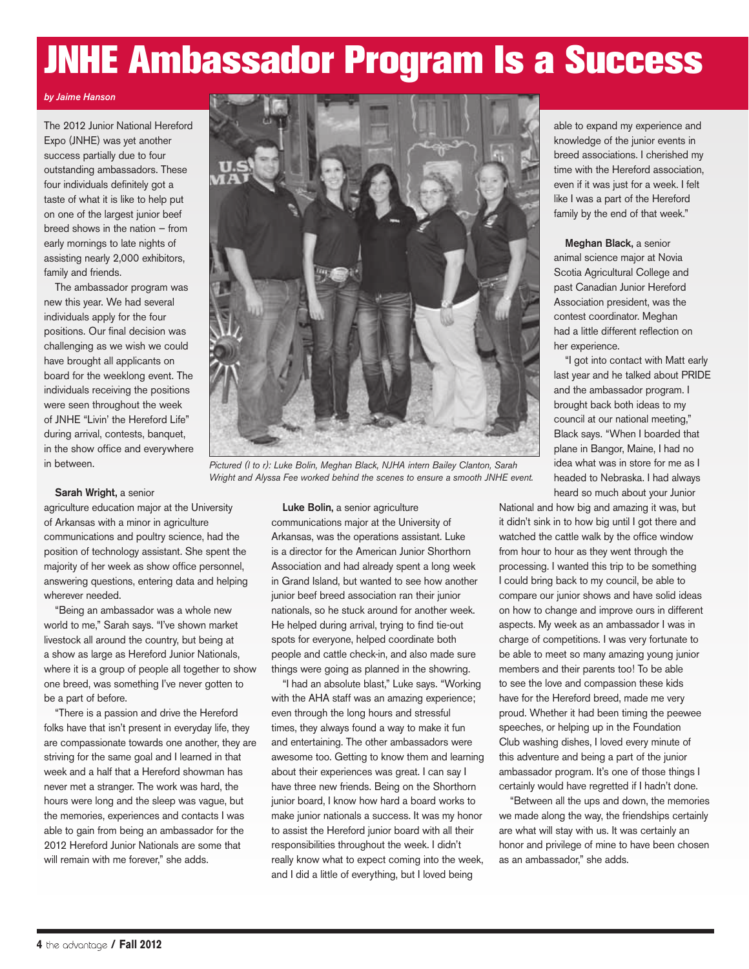### JNHE Ambassador Program Is a Success

#### *by Jaime Hanson*

The 2012 Junior National Hereford Expo (JNHE) was yet another success partially due to four outstanding ambassadors. These four individuals definitely got a taste of what it is like to help put on one of the largest junior beef breed shows in the nation — from early mornings to late nights of assisting nearly 2,000 exhibitors, family and friends.

The ambassador program was new this year. We had several individuals apply for the four positions. Our final decision was challenging as we wish we could have brought all applicants on board for the weeklong event. The individuals receiving the positions were seen throughout the week of JNHE "Livin' the Hereford Life" during arrival, contests, banquet, in the show office and everywhere in between.



*Pictured (l to r): Luke Bolin, Meghan Black, NJHA intern Bailey Clanton, Sarah Wright and Alyssa Fee worked behind the scenes to ensure a smooth JNHE event.*

#### Sarah Wright, a senior

agriculture education major at the University of Arkansas with a minor in agriculture communications and poultry science, had the position of technology assistant. She spent the majority of her week as show office personnel, answering questions, entering data and helping wherever needed.

"Being an ambassador was a whole new world to me," Sarah says. "I've shown market livestock all around the country, but being at a show as large as Hereford Junior Nationals, where it is a group of people all together to show one breed, was something I've never gotten to be a part of before.

"There is a passion and drive the Hereford folks have that isn't present in everyday life, they are compassionate towards one another, they are striving for the same goal and I learned in that week and a half that a Hereford showman has never met a stranger. The work was hard, the hours were long and the sleep was vague, but the memories, experiences and contacts I was able to gain from being an ambassador for the 2012 Hereford Junior Nationals are some that will remain with me forever," she adds.

Luke Bolin, a senior agriculture communications major at the University of Arkansas, was the operations assistant. Luke is a director for the American Junior Shorthorn Association and had already spent a long week in Grand Island, but wanted to see how another junior beef breed association ran their junior nationals, so he stuck around for another week. He helped during arrival, trying to find tie-out spots for everyone, helped coordinate both people and cattle check-in, and also made sure things were going as planned in the showring.

"I had an absolute blast," Luke says. "Working with the AHA staff was an amazing experience; even through the long hours and stressful times, they always found a way to make it fun and entertaining. The other ambassadors were awesome too. Getting to know them and learning about their experiences was great. I can say I have three new friends. Being on the Shorthorn junior board, I know how hard a board works to make junior nationals a success. It was my honor to assist the Hereford junior board with all their responsibilities throughout the week. I didn't really know what to expect coming into the week, and I did a little of everything, but I loved being

able to expand my experience and knowledge of the junior events in breed associations. I cherished my time with the Hereford association, even if it was just for a week. I felt like I was a part of the Hereford family by the end of that week."

Meghan Black, a senior animal science major at Novia Scotia Agricultural College and past Canadian Junior Hereford Association president, was the contest coordinator. Meghan had a little different reflection on her experience.

"I got into contact with Matt early last year and he talked about PRIDE and the ambassador program. I brought back both ideas to my council at our national meeting," Black says. "When I boarded that plane in Bangor, Maine, I had no idea what was in store for me as I headed to Nebraska. I had always heard so much about your Junior

National and how big and amazing it was, but it didn't sink in to how big until I got there and watched the cattle walk by the office window from hour to hour as they went through the processing. I wanted this trip to be something I could bring back to my council, be able to compare our junior shows and have solid ideas on how to change and improve ours in different aspects. My week as an ambassador I was in charge of competitions. I was very fortunate to be able to meet so many amazing young junior members and their parents too! To be able to see the love and compassion these kids have for the Hereford breed, made me very proud. Whether it had been timing the peewee speeches, or helping up in the Foundation Club washing dishes, I loved every minute of this adventure and being a part of the junior ambassador program. It's one of those things I certainly would have regretted if I hadn't done.

"Between all the ups and down, the memories we made along the way, the friendships certainly are what will stay with us. It was certainly an honor and privilege of mine to have been chosen as an ambassador," she adds.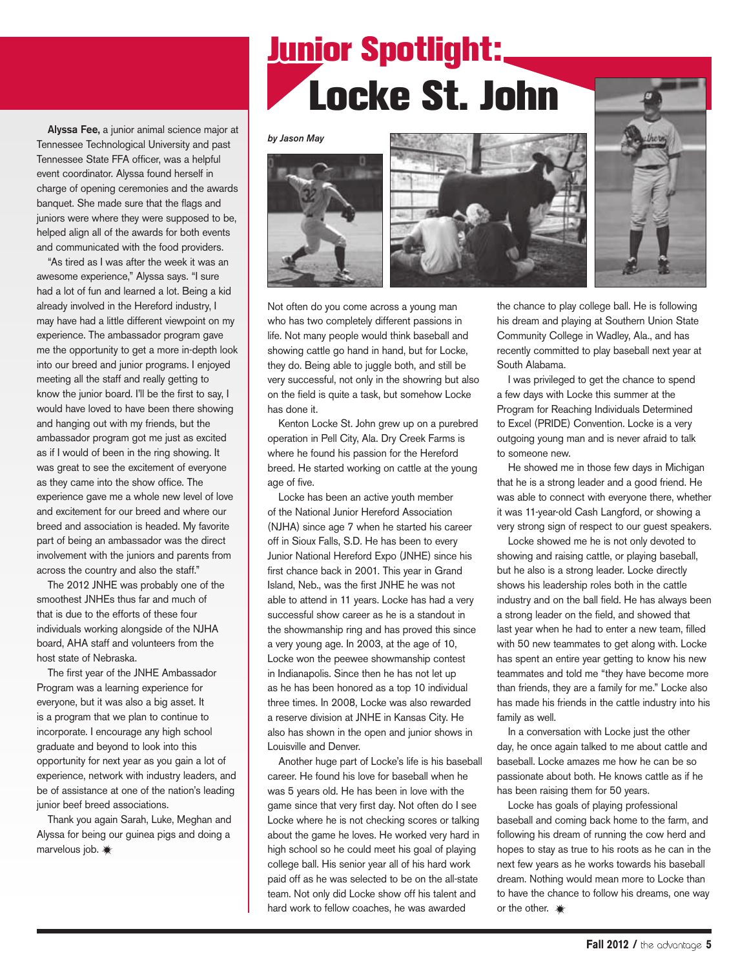## **Junior Spotlight:** Locke St. John

Alyssa Fee, a junior animal science major at Tennessee Technological University and past Tennessee State FFA officer, was a helpful event coordinator. Alyssa found herself in charge of opening ceremonies and the awards banquet. She made sure that the flags and juniors were where they were supposed to be, helped align all of the awards for both events and communicated with the food providers.

"As tired as I was after the week it was an awesome experience," Alyssa says. "I sure had a lot of fun and learned a lot. Being a kid already involved in the Hereford industry, I may have had a little different viewpoint on my experience. The ambassador program gave me the opportunity to get a more in-depth look into our breed and junior programs. I enjoyed meeting all the staff and really getting to know the junior board. I'll be the first to say, I would have loved to have been there showing and hanging out with my friends, but the ambassador program got me just as excited as if I would of been in the ring showing. It was great to see the excitement of everyone as they came into the show office. The experience gave me a whole new level of love and excitement for our breed and where our breed and association is headed. My favorite part of being an ambassador was the direct involvement with the juniors and parents from across the country and also the staff."

The 2012 JNHE was probably one of the smoothest JNHEs thus far and much of that is due to the efforts of these four individuals working alongside of the NJHA board, AHA staff and volunteers from the host state of Nebraska.

The first year of the JNHE Ambassador Program was a learning experience for everyone, but it was also a big asset. It is a program that we plan to continue to incorporate. I encourage any high school graduate and beyond to look into this opportunity for next year as you gain a lot of experience, network with industry leaders, and be of assistance at one of the nation's leading junior beef breed associations.

Thank you again Sarah, Luke, Meghan and Alyssa for being our guinea pigs and doing a marvelous job.

#### *by Jason May*



Not often do you come across a young man who has two completely different passions in life. Not many people would think baseball and showing cattle go hand in hand, but for Locke, they do. Being able to juggle both, and still be very successful, not only in the showring but also on the field is quite a task, but somehow Locke has done it.

Kenton Locke St. John grew up on a purebred operation in Pell City, Ala. Dry Creek Farms is where he found his passion for the Hereford breed. He started working on cattle at the young age of five.

Locke has been an active youth member of the National Junior Hereford Association (NJHA) since age 7 when he started his career off in Sioux Falls, S.D. He has been to every Junior National Hereford Expo (JNHE) since his first chance back in 2001. This year in Grand Island, Neb., was the first JNHE he was not able to attend in 11 years. Locke has had a very successful show career as he is a standout in the showmanship ring and has proved this since a very young age. In 2003, at the age of 10, Locke won the peewee showmanship contest in Indianapolis. Since then he has not let up as he has been honored as a top 10 individual three times. In 2008, Locke was also rewarded a reserve division at JNHE in Kansas City. He also has shown in the open and junior shows in Louisville and Denver.

Another huge part of Locke's life is his baseball career. He found his love for baseball when he was 5 years old. He has been in love with the game since that very first day. Not often do I see Locke where he is not checking scores or talking about the game he loves. He worked very hard in high school so he could meet his goal of playing college ball. His senior year all of his hard work paid off as he was selected to be on the all-state team. Not only did Locke show off his talent and hard work to fellow coaches, he was awarded

the chance to play college ball. He is following his dream and playing at Southern Union State Community College in Wadley, Ala., and has recently committed to play baseball next year at South Alabama.

I was privileged to get the chance to spend a few days with Locke this summer at the Program for Reaching Individuals Determined to Excel (PRIDE) Convention. Locke is a very outgoing young man and is never afraid to talk to someone new.

He showed me in those few days in Michigan that he is a strong leader and a good friend. He was able to connect with everyone there, whether it was 11-year-old Cash Langford, or showing a very strong sign of respect to our guest speakers.

Locke showed me he is not only devoted to showing and raising cattle, or playing baseball, but he also is a strong leader. Locke directly shows his leadership roles both in the cattle industry and on the ball field. He has always been a strong leader on the field, and showed that last year when he had to enter a new team, filled with 50 new teammates to get along with. Locke has spent an entire year getting to know his new teammates and told me "they have become more than friends, they are a family for me." Locke also has made his friends in the cattle industry into his family as well.

In a conversation with Locke just the other day, he once again talked to me about cattle and baseball. Locke amazes me how he can be so passionate about both. He knows cattle as if he has been raising them for 50 years.

Locke has goals of playing professional baseball and coming back home to the farm, and following his dream of running the cow herd and hopes to stay as true to his roots as he can in the next few years as he works towards his baseball dream. Nothing would mean more to Locke than to have the chance to follow his dreams, one way or the other.  $*$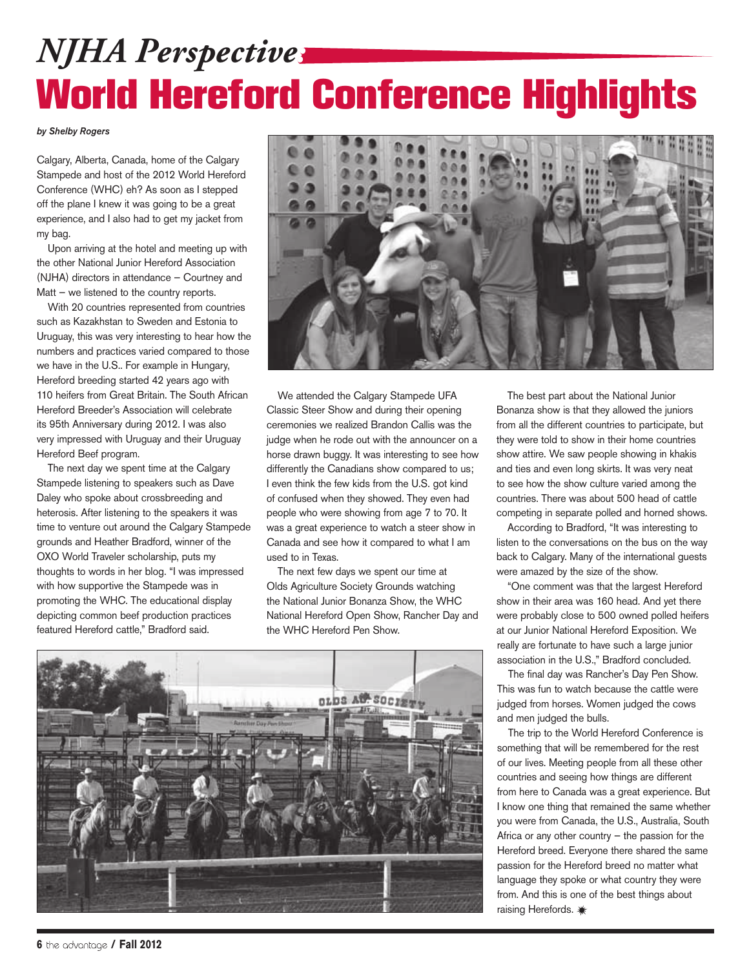## *NJHA Perspective:* World Hereford Conference Highlights

*by Shelby Rogers*

Calgary, Alberta, Canada, home of the Calgary Stampede and host of the 2012 World Hereford Conference (WHC) eh? As soon as I stepped off the plane I knew it was going to be a great experience, and I also had to get my jacket from my bag.

Upon arriving at the hotel and meeting up with the other National Junior Hereford Association (NJHA) directors in attendance — Courtney and Matt – we listened to the country reports.

With 20 countries represented from countries such as Kazakhstan to Sweden and Estonia to Uruguay, this was very interesting to hear how the numbers and practices varied compared to those we have in the U.S.. For example in Hungary, Hereford breeding started 42 years ago with 110 heifers from Great Britain. The South African Hereford Breeder's Association will celebrate its 95th Anniversary during 2012. I was also very impressed with Uruguay and their Uruguay Hereford Beef program.

The next day we spent time at the Calgary Stampede listening to speakers such as Dave Daley who spoke about crossbreeding and heterosis. After listening to the speakers it was time to venture out around the Calgary Stampede grounds and Heather Bradford, winner of the OXO World Traveler scholarship, puts my thoughts to words in her blog. "I was impressed with how supportive the Stampede was in promoting the WHC. The educational display depicting common beef production practices featured Hereford cattle," Bradford said.



We attended the Calgary Stampede UFA Classic Steer Show and during their opening ceremonies we realized Brandon Callis was the judge when he rode out with the announcer on a horse drawn buggy. It was interesting to see how differently the Canadians show compared to us; I even think the few kids from the U.S. got kind of confused when they showed. They even had people who were showing from age 7 to 70. It was a great experience to watch a steer show in Canada and see how it compared to what I am used to in Texas.

The next few days we spent our time at Olds Agriculture Society Grounds watching the National Junior Bonanza Show, the WHC National Hereford Open Show, Rancher Day and the WHC Hereford Pen Show.



The best part about the National Junior Bonanza show is that they allowed the juniors from all the different countries to participate, but they were told to show in their home countries show attire. We saw people showing in khakis and ties and even long skirts. It was very neat to see how the show culture varied among the countries. There was about 500 head of cattle competing in separate polled and horned shows.

According to Bradford, "It was interesting to listen to the conversations on the bus on the way back to Calgary. Many of the international guests were amazed by the size of the show.

"One comment was that the largest Hereford show in their area was 160 head. And yet there were probably close to 500 owned polled heifers at our Junior National Hereford Exposition. We really are fortunate to have such a large junior association in the U.S.," Bradford concluded.

The final day was Rancher's Day Pen Show. This was fun to watch because the cattle were judged from horses. Women judged the cows and men judged the bulls.

The trip to the World Hereford Conference is something that will be remembered for the rest of our lives. Meeting people from all these other countries and seeing how things are different from here to Canada was a great experience. But I know one thing that remained the same whether you were from Canada, the U.S., Australia, South Africa or any other country  $-$  the passion for the Hereford breed. Everyone there shared the same passion for the Hereford breed no matter what language they spoke or what country they were from. And this is one of the best things about raising Herefords. \*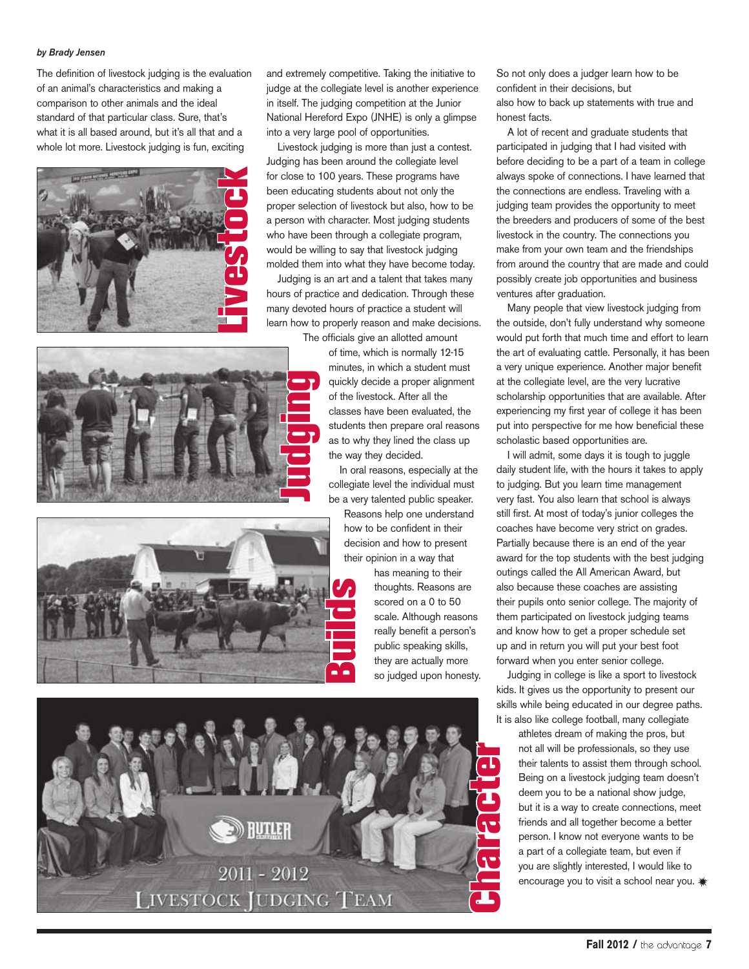#### *by Brady Jensen*

The definition of livestock judging is the evaluation of an animal's characteristics and making a comparison to other animals and the ideal standard of that particular class. Sure, that's what it is all based around, but it's all that and a whole lot more. Livestock judging is fun, exciting



and extremely competitive. Taking the initiative to judge at the collegiate level is another experience in itself. The judging competition at the Junior National Hereford Expo (JNHE) is only a glimpse into a very large pool of opportunities.

Livestock judging is more than just a contest. Judging has been around the collegiate level for close to 100 years. These programs have been educating students about not only the proper selection of livestock but also, how to be a person with character. Most judging students who have been through a collegiate program, would be willing to say that livestock judging molded them into what they have become today.

Judging is an art and a talent that takes many hours of practice and dedication. Through these many devoted hours of practice a student will learn how to properly reason and make decisions.

The officials give an allotted amount of time, which is normally 12-15



In oral reasons, especially at the collegiate level the individual must be a very talented public speaker.

Reasons help one understand how to be confident in their decision and how to present their opinion in a way that

> has meaning to their thoughts. Reasons are scored on a 0 to 50 scale. Although reasons really benefit a person's public speaking skills, they are actually more so judged upon honesty.

So not only does a judger learn how to be confident in their decisions, but also how to back up statements with true and honest facts.

A lot of recent and graduate students that participated in judging that I had visited with before deciding to be a part of a team in college always spoke of connections. I have learned that the connections are endless. Traveling with a judging team provides the opportunity to meet the breeders and producers of some of the best livestock in the country. The connections you make from your own team and the friendships from around the country that are made and could possibly create job opportunities and business ventures after graduation.

Many people that view livestock judging from the outside, don't fully understand why someone would put forth that much time and effort to learn the art of evaluating cattle. Personally, it has been a very unique experience. Another major benefit at the collegiate level, are the very lucrative scholarship opportunities that are available. After experiencing my first year of college it has been put into perspective for me how beneficial these scholastic based opportunities are.

I will admit, some days it is tough to juggle daily student life, with the hours it takes to apply to judging. But you learn time management very fast. You also learn that school is always still first. At most of today's junior colleges the coaches have become very strict on grades. Partially because there is an end of the year award for the top students with the best judging outings called the All American Award, but also because these coaches are assisting their pupils onto senior college. The majority of them participated on livestock judging teams and know how to get a proper schedule set up and in return you will put your best foot forward when you enter senior college.

Judging in college is like a sport to livestock kids. It gives us the opportunity to present our skills while being educated in our degree paths. It is also like college football, many collegiate

> athletes dream of making the pros, but not all will be professionals, so they use their talents to assist them through school. Being on a livestock judging team doesn't deem you to be a national show judge, but it is a way to create connections, meet friends and all together become a better person. I know not everyone wants to be a part of a collegiate team, but even if you are slightly interested, I would like to encourage you to visit a school near you.  $*$





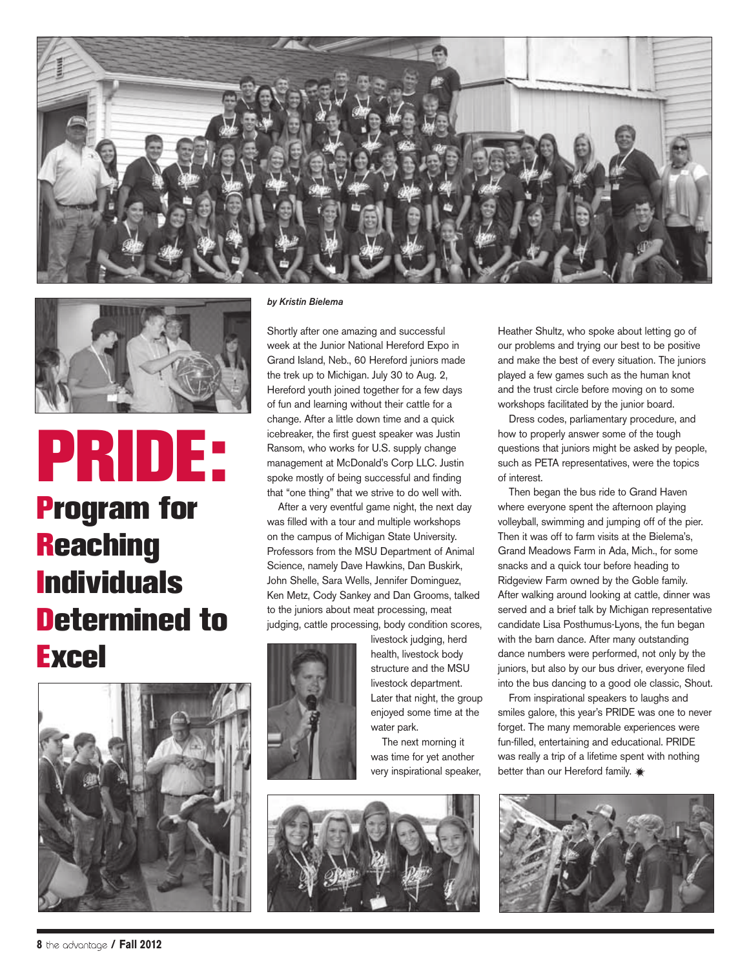



### PRIDE: Program for **Reaching Individuals** Determined to **Excel**



#### *by Kristin Bielema*

Shortly after one amazing and successful week at the Junior National Hereford Expo in Grand Island, Neb., 60 Hereford juniors made the trek up to Michigan. July 30 to Aug. 2, Hereford youth joined together for a few days of fun and learning without their cattle for a change. After a little down time and a quick icebreaker, the first guest speaker was Justin Ransom, who works for U.S. supply change management at McDonald's Corp LLC. Justin spoke mostly of being successful and finding that "one thing" that we strive to do well with.

After a very eventful game night, the next day was filled with a tour and multiple workshops on the campus of Michigan State University. Professors from the MSU Department of Animal Science, namely Dave Hawkins, Dan Buskirk, John Shelle, Sara Wells, Jennifer Dominguez, Ken Metz, Cody Sankey and Dan Grooms, talked to the juniors about meat processing, meat judging, cattle processing, body condition scores,



livestock judging, herd health, livestock body structure and the MSU livestock department. Later that night, the group enjoyed some time at the water park.

The next morning it was time for yet another very inspirational speaker,



Heather Shultz, who spoke about letting go of our problems and trying our best to be positive and make the best of every situation. The juniors played a few games such as the human knot and the trust circle before moving on to some workshops facilitated by the junior board.

Dress codes, parliamentary procedure, and how to properly answer some of the tough questions that juniors might be asked by people, such as PETA representatives, were the topics of interest.

Then began the bus ride to Grand Haven where everyone spent the afternoon playing volleyball, swimming and jumping off of the pier. Then it was off to farm visits at the Bielema's, Grand Meadows Farm in Ada, Mich., for some snacks and a quick tour before heading to Ridgeview Farm owned by the Goble family. After walking around looking at cattle, dinner was served and a brief talk by Michigan representative candidate Lisa Posthumus-Lyons, the fun began with the barn dance. After many outstanding dance numbers were performed, not only by the juniors, but also by our bus driver, everyone filed into the bus dancing to a good ole classic, Shout.

From inspirational speakers to laughs and smiles galore, this year's PRIDE was one to never forget. The many memorable experiences were fun-filled, entertaining and educational. PRIDE was really a trip of a lifetime spent with nothing better than our Hereford family.  $*$ 

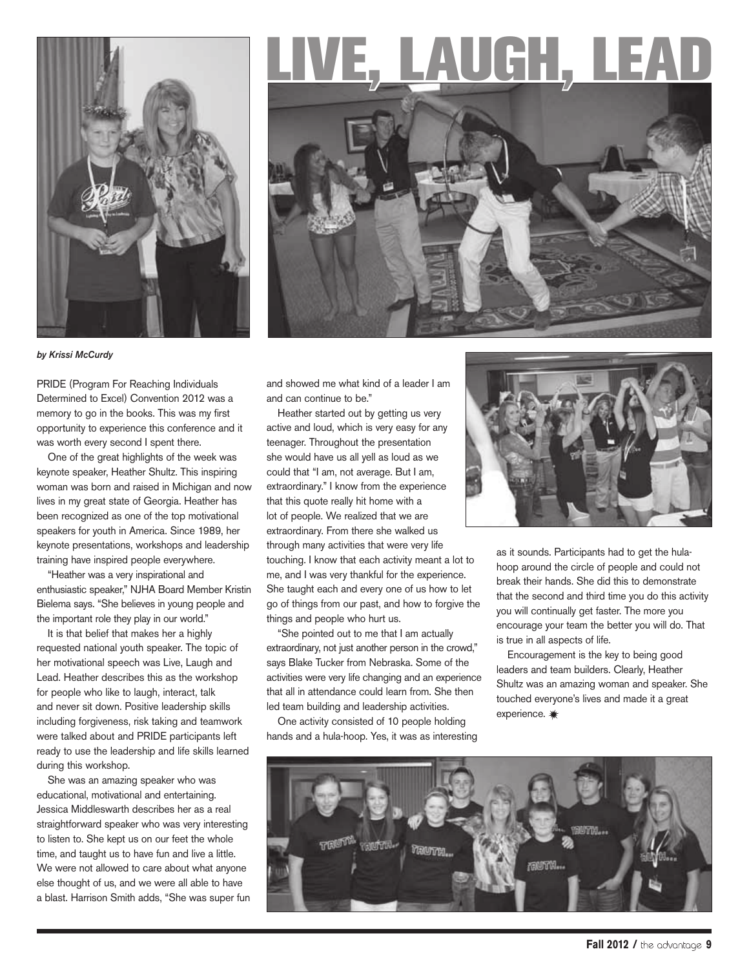

## , LAUGH, LEA



*by Krissi McCurdy*

PRIDE (Program For Reaching Individuals Determined to Excel) Convention 2012 was a memory to go in the books. This was my first opportunity to experience this conference and it was worth every second I spent there.

One of the great highlights of the week was keynote speaker, Heather Shultz. This inspiring woman was born and raised in Michigan and now lives in my great state of Georgia. Heather has been recognized as one of the top motivational speakers for youth in America. Since 1989, her keynote presentations, workshops and leadership training have inspired people everywhere.

"Heather was a very inspirational and enthusiastic speaker," NJHA Board Member Kristin Bielema says. "She believes in young people and the important role they play in our world."

It is that belief that makes her a highly requested national youth speaker. The topic of her motivational speech was Live, Laugh and Lead. Heather describes this as the workshop for people who like to laugh, interact, talk and never sit down. Positive leadership skills including forgiveness, risk taking and teamwork were talked about and PRIDE participants left ready to use the leadership and life skills learned during this workshop.

She was an amazing speaker who was educational, motivational and entertaining. Jessica Middleswarth describes her as a real straightforward speaker who was very interesting to listen to. She kept us on our feet the whole time, and taught us to have fun and live a little. We were not allowed to care about what anyone else thought of us, and we were all able to have a blast. Harrison Smith adds, "She was super fun and showed me what kind of a leader I am and can continue to be."

Heather started out by getting us very active and loud, which is very easy for any teenager. Throughout the presentation she would have us all yell as loud as we could that "I am, not average. But I am, extraordinary." I know from the experience that this quote really hit home with a lot of people. We realized that we are extraordinary. From there she walked us through many activities that were very life touching. I know that each activity meant a lot to me, and I was very thankful for the experience. She taught each and every one of us how to let go of things from our past, and how to forgive the things and people who hurt us.

"She pointed out to me that I am actually extraordinary, not just another person in the crowd," says Blake Tucker from Nebraska. Some of the activities were very life changing and an experience that all in attendance could learn from. She then led team building and leadership activities.

One activity consisted of 10 people holding hands and a hula-hoop. Yes, it was as interesting



as it sounds. Participants had to get the hulahoop around the circle of people and could not break their hands. She did this to demonstrate that the second and third time you do this activity you will continually get faster. The more you encourage your team the better you will do. That is true in all aspects of life.

Encouragement is the key to being good leaders and team builders. Clearly, Heather Shultz was an amazing woman and speaker. She touched everyone's lives and made it a great experience.  $*$ 

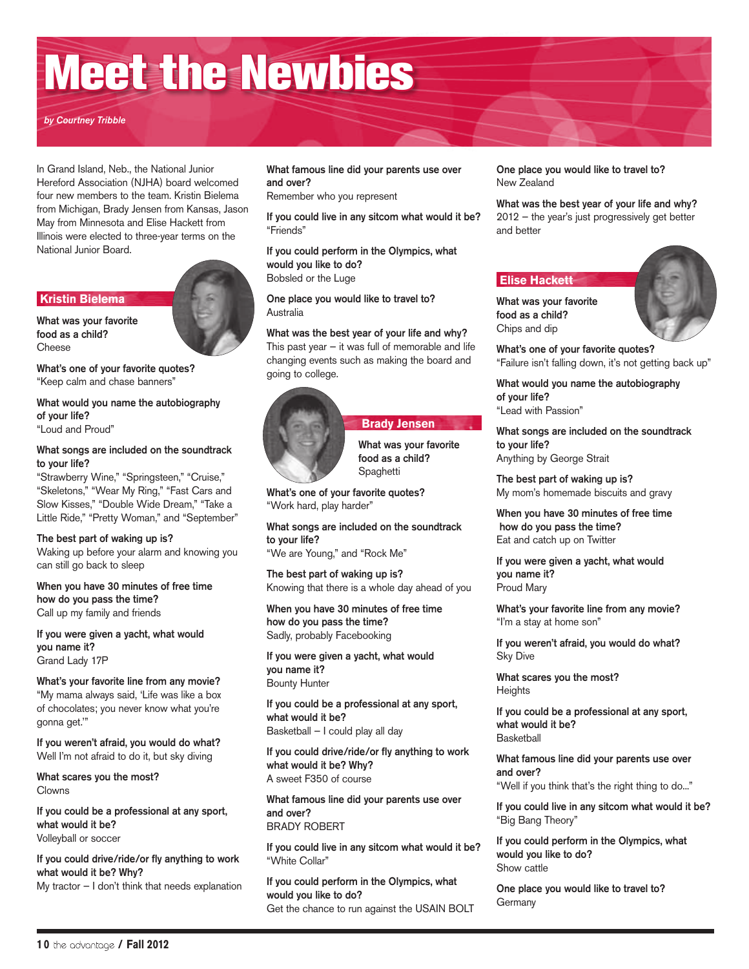## Meet the Newbies

*by Courtney Tribble*

In Grand Island, Neb., the National Junior Hereford Association (NJHA) board welcomed four new members to the team. Kristin Bielema from Michigan, Brady Jensen from Kansas, Jason May from Minnesota and Elise Hackett from Illinois were elected to three-year terms on the National Junior Board.

#### **Kristin Bielema**

What was your favorite food as a child? Cheese

What's one of your favorite quotes? "Keep calm and chase banners"

#### What would you name the autobiography of your life? "Loud and Proud"

#### What songs are included on the soundtrack to your life?

"Strawberry Wine," "Springsteen," "Cruise," "Skeletons," "Wear My Ring," "Fast Cars and Slow Kisses," "Double Wide Dream," "Take a Little Ride," "Pretty Woman," and "September"

The best part of waking up is? Waking up before your alarm and knowing you can still go back to sleep

When you have 30 minutes of free time how do you pass the time? Call up my family and friends

If you were given a yacht, what would you name it? Grand Lady 17P

What's your favorite line from any movie? "My mama always said, 'Life was like a box of chocolates; you never know what you're gonna get.'"

If you weren't afraid, you would do what? Well I'm not afraid to do it, but sky diving

What scares you the most? Clowns

If you could be a professional at any sport, what would it be? Volleyball or soccer

If you could drive/ride/or fly anything to work what would it be? Why?

My tractor — I don't think that needs explanation

#### What famous line did your parents use over and over?

Remember who you represent

If you could live in any sitcom what would it be? "Friends"

If you could perform in the Olympics, what would you like to do? Bobsled or the Luge

One place you would like to travel to? Australia

What was the best year of your life and why? This past year  $-$  it was full of memorable and life changing events such as making the board and going to college.



 **Brady Jensen** What was your favorite food as a child? Spaghetti

What's one of your favorite quotes? "Work hard, play harder"

What songs are included on the soundtrack to your life? "We are Young," and "Rock Me"

The best part of waking up is? Knowing that there is a whole day ahead of you

When you have 30 minutes of free time how do you pass the time? Sadly, probably Facebooking

If you were given a yacht, what would you name it? Bounty Hunter

If you could be a professional at any sport, what would it be? Basketball — I could play all day

If you could drive/ride/or fly anything to work what would it be? Why? A sweet F350 of course

What famous line did your parents use over and over? BRADY ROBERT

If you could live in any sitcom what would it be? "White Collar"

If you could perform in the Olympics, what would you like to do? Get the chance to run against the USAIN BOLT One place you would like to travel to? New Zealand

What was the best year of your life and why?

2012 — the year's just progressively get better and better

#### **Elise Hackett**

food as a child? Chips and dip

What was your favorite

What's one of your favorite quotes? "Failure isn't falling down, it's not getting back up"

What would you name the autobiography of your life? "Lead with Passion"

What songs are included on the soundtrack to your life? Anything by George Strait

The best part of waking up is? My mom's homemade biscuits and gravy

When you have 30 minutes of free time how do you pass the time? Eat and catch up on Twitter

If you were given a yacht, what would you name it? Proud Mary

What's your favorite line from any movie? "I'm a stay at home son"

If you weren't afraid, you would do what? Sky Dive

What scares you the most? **Heights** 

If you could be a professional at any sport, what would it be? **Basketball** 

What famous line did your parents use over and over?

"Well if you think that's the right thing to do..."

If you could live in any sitcom what would it be? "Big Bang Theory"

If you could perform in the Olympics, what would you like to do? Show cattle

One place you would like to travel to? **Germany**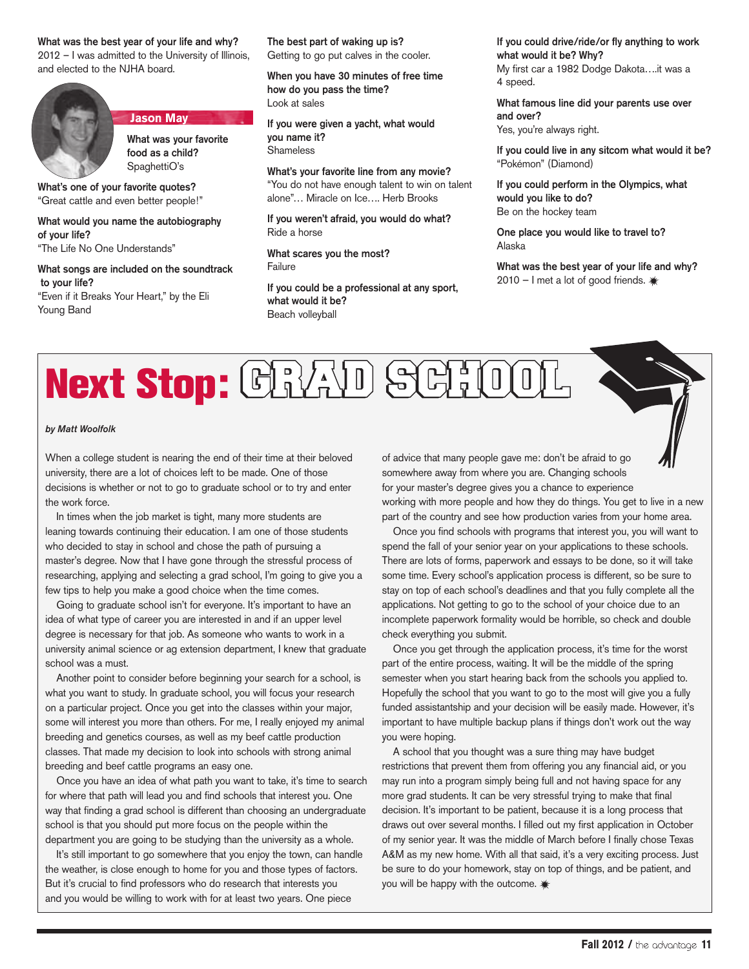#### What was the best year of your life and why? 2012 – I was admitted to the University of Illinois, and elected to the NJHA board.



#### **Jason May**

What was your favorite food as a child? SpaghettiO's

What's one of your favorite quotes? "Great cattle and even better people!"

#### What would you name the autobiography of your life?

"The Life No One Understands"

#### What songs are included on the soundtrack to your life? "Even if it Breaks Your Heart," by the Eli Young Band

The best part of waking up is? Getting to go put calves in the cooler.

When you have 30 minutes of free time how do you pass the time? Look at sales

If you were given a yacht, what would you name it? Shameless

What's your favorite line from any movie? "You do not have enough talent to win on talent alone"… Miracle on Ice…. Herb Brooks

If you weren't afraid, you would do what? Ride a horse

What scares you the most? Failure

If you could be a professional at any sport, what would it be? Beach volleyball

If you could drive/ride/or fly anything to work what would it be? Why? My first car a 1982 Dodge Dakota….it was a 4 speed.

What famous line did your parents use over and over?

Yes, you're always right.

If you could live in any sitcom what would it be? "Pokémon" (Diamond)

If you could perform in the Olympics, what would you like to do? Be on the hockey team

One place you would like to travel to? Alaska

What was the best year of your life and why? 2010 — I met a lot of good friends.

## Next Stop: CRYAD SCHOO

#### *by Matt Woolfolk*

When a college student is nearing the end of their time at their beloved university, there are a lot of choices left to be made. One of those decisions is whether or not to go to graduate school or to try and enter the work force.

In times when the job market is tight, many more students are leaning towards continuing their education. I am one of those students who decided to stay in school and chose the path of pursuing a master's degree. Now that I have gone through the stressful process of researching, applying and selecting a grad school, I'm going to give you a few tips to help you make a good choice when the time comes.

Going to graduate school isn't for everyone. It's important to have an idea of what type of career you are interested in and if an upper level degree is necessary for that job. As someone who wants to work in a university animal science or ag extension department, I knew that graduate school was a must.

Another point to consider before beginning your search for a school, is what you want to study. In graduate school, you will focus your research on a particular project. Once you get into the classes within your major, some will interest you more than others. For me, I really enjoyed my animal breeding and genetics courses, as well as my beef cattle production classes. That made my decision to look into schools with strong animal breeding and beef cattle programs an easy one.

Once you have an idea of what path you want to take, it's time to search for where that path will lead you and find schools that interest you. One way that finding a grad school is different than choosing an undergraduate school is that you should put more focus on the people within the department you are going to be studying than the university as a whole.

It's still important to go somewhere that you enjoy the town, can handle the weather, is close enough to home for you and those types of factors. But it's crucial to find professors who do research that interests you and you would be willing to work with for at least two years. One piece

of advice that many people gave me: don't be afraid to go somewhere away from where you are. Changing schools for your master's degree gives you a chance to experience working with more people and how they do things. You get to live in a new part of the country and see how production varies from your home area.

Once you find schools with programs that interest you, you will want to spend the fall of your senior year on your applications to these schools. There are lots of forms, paperwork and essays to be done, so it will take some time. Every school's application process is different, so be sure to stay on top of each school's deadlines and that you fully complete all the applications. Not getting to go to the school of your choice due to an incomplete paperwork formality would be horrible, so check and double check everything you submit.

Once you get through the application process, it's time for the worst part of the entire process, waiting. It will be the middle of the spring semester when you start hearing back from the schools you applied to. Hopefully the school that you want to go to the most will give you a fully funded assistantship and your decision will be easily made. However, it's important to have multiple backup plans if things don't work out the way you were hoping.

A school that you thought was a sure thing may have budget restrictions that prevent them from offering you any financial aid, or you may run into a program simply being full and not having space for any more grad students. It can be very stressful trying to make that final decision. It's important to be patient, because it is a long process that draws out over several months. I filled out my first application in October of my senior year. It was the middle of March before I finally chose Texas A&M as my new home. With all that said, it's a very exciting process. Just be sure to do your homework, stay on top of things, and be patient, and you will be happy with the outcome.  $*$